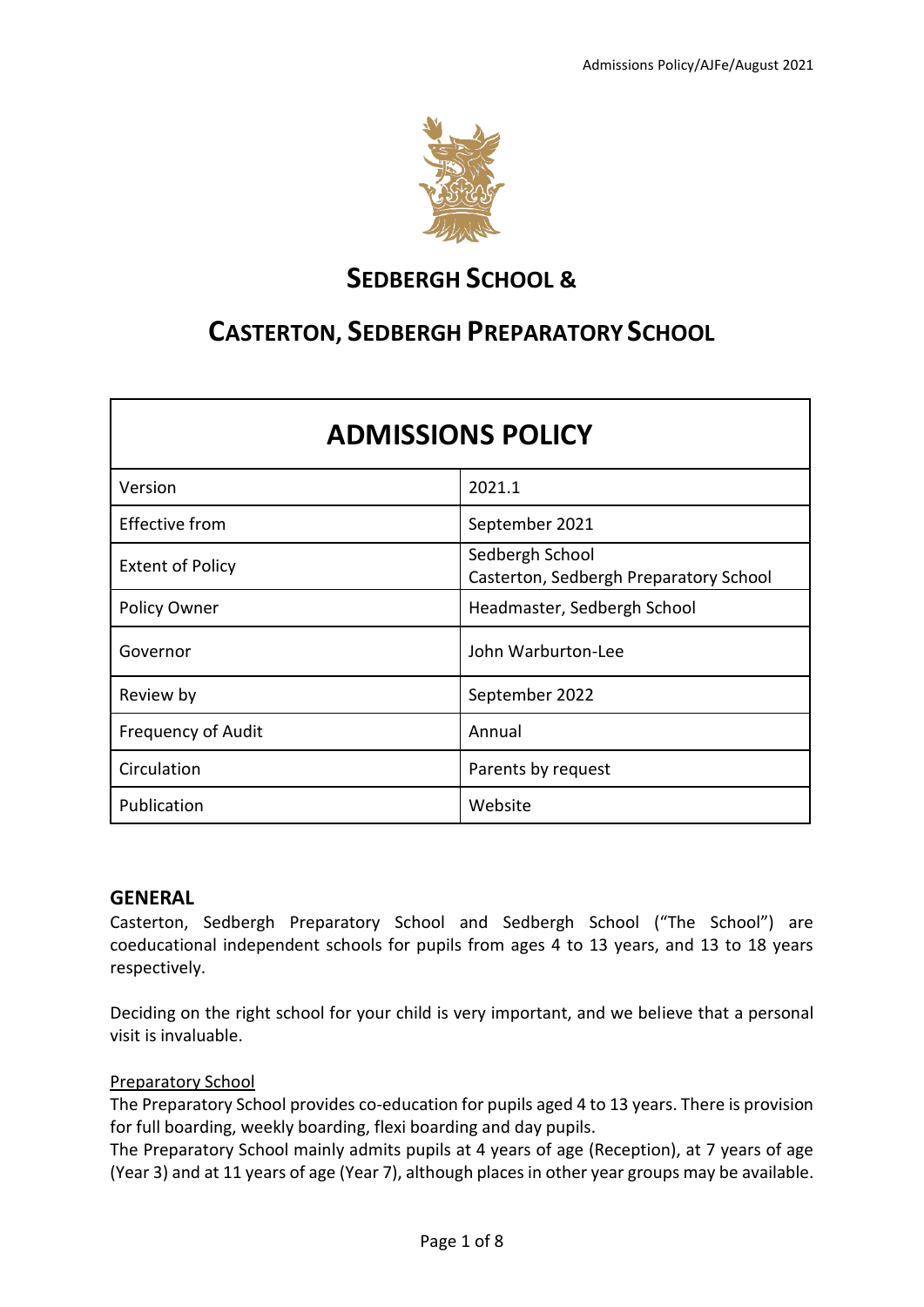

# **SEDBERGH SCHOOL &**

# **CASTERTON, SEDBERGH PREPARATORY SCHOOL**

| <b>ADMISSIONS POLICY</b>  |                                                           |
|---------------------------|-----------------------------------------------------------|
| Version                   | 2021.1                                                    |
| <b>Effective from</b>     | September 2021                                            |
| <b>Extent of Policy</b>   | Sedbergh School<br>Casterton, Sedbergh Preparatory School |
| Policy Owner              | Headmaster, Sedbergh School                               |
| Governor                  | John Warburton-Lee                                        |
| Review by                 | September 2022                                            |
| <b>Frequency of Audit</b> | Annual                                                    |
| Circulation               | Parents by request                                        |
| Publication               | Website                                                   |

# **GENERAL**

Casterton, Sedbergh Preparatory School and Sedbergh School ("The School") are coeducational independent schools for pupils from ages 4 to 13 years, and 13 to 18 years respectively.

Deciding on the right school for your child is very important, and we believe that a personal visit is invaluable.

## Preparatory School

The Preparatory School provides co-education for pupils aged 4 to 13 years. There is provision for full boarding, weekly boarding, flexi boarding and day pupils.

The Preparatory School mainly admits pupils at 4 years of age (Reception), at 7 years of age (Year 3) and at 11 years of age (Year 7), although places in other year groups may be available.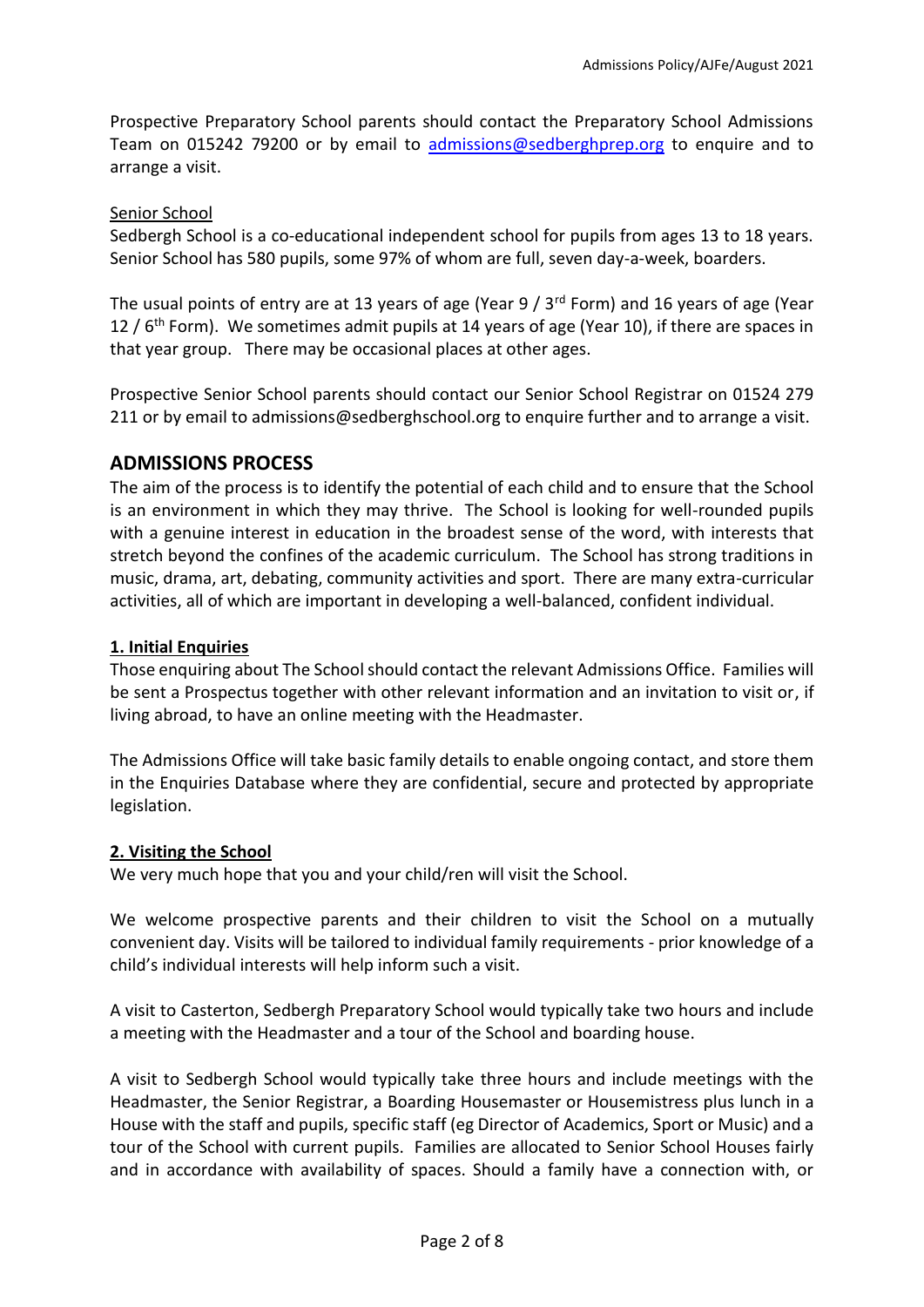Prospective Preparatory School parents should contact the Preparatory School Admissions Team on 015242 79200 or by email to [admissions@sedberghprep.org](mailto:admissions@sedberghprep.org) to enquire and to arrange a visit.

#### Senior School

Sedbergh School is a co-educational independent school for pupils from ages 13 to 18 years. Senior School has 580 pupils, some 97% of whom are full, seven day-a-week, boarders.

The usual points of entry are at 13 years of age (Year 9 / 3rd Form) and 16 years of age (Year 12 /  $6<sup>th</sup>$  Form). We sometimes admit pupils at 14 years of age (Year 10), if there are spaces in that year group. There may be occasional places at other ages.

Prospective Senior School parents should contact our Senior School Registrar on 01524 279 211 or by email to admissions@sedberghschool.org to enquire further and to arrange a visit.

## **ADMISSIONS PROCESS**

The aim of the process is to identify the potential of each child and to ensure that the School is an environment in which they may thrive. The School is looking for well-rounded pupils with a genuine interest in education in the broadest sense of the word, with interests that stretch beyond the confines of the academic curriculum. The School has strong traditions in music, drama, art, debating, community activities and sport. There are many extra-curricular activities, all of which are important in developing a well-balanced, confident individual.

#### **1. Initial Enquiries**

Those enquiring about The School should contact the relevant Admissions Office. Families will be sent a Prospectus together with other relevant information and an invitation to visit or, if living abroad, to have an online meeting with the Headmaster.

The Admissions Office will take basic family details to enable ongoing contact, and store them in the Enquiries Database where they are confidential, secure and protected by appropriate legislation.

#### **2. Visiting the School**

We very much hope that you and your child/ren will visit the School.

We welcome prospective parents and their children to visit the School on a mutually convenient day. Visits will be tailored to individual family requirements - prior knowledge of a child's individual interests will help inform such a visit.

A visit to Casterton, Sedbergh Preparatory School would typically take two hours and include a meeting with the Headmaster and a tour of the School and boarding house.

A visit to Sedbergh School would typically take three hours and include meetings with the Headmaster, the Senior Registrar, a Boarding Housemaster or Housemistress plus lunch in a House with the staff and pupils, specific staff (eg Director of Academics, Sport or Music) and a tour of the School with current pupils. Families are allocated to Senior School Houses fairly and in accordance with availability of spaces. Should a family have a connection with, or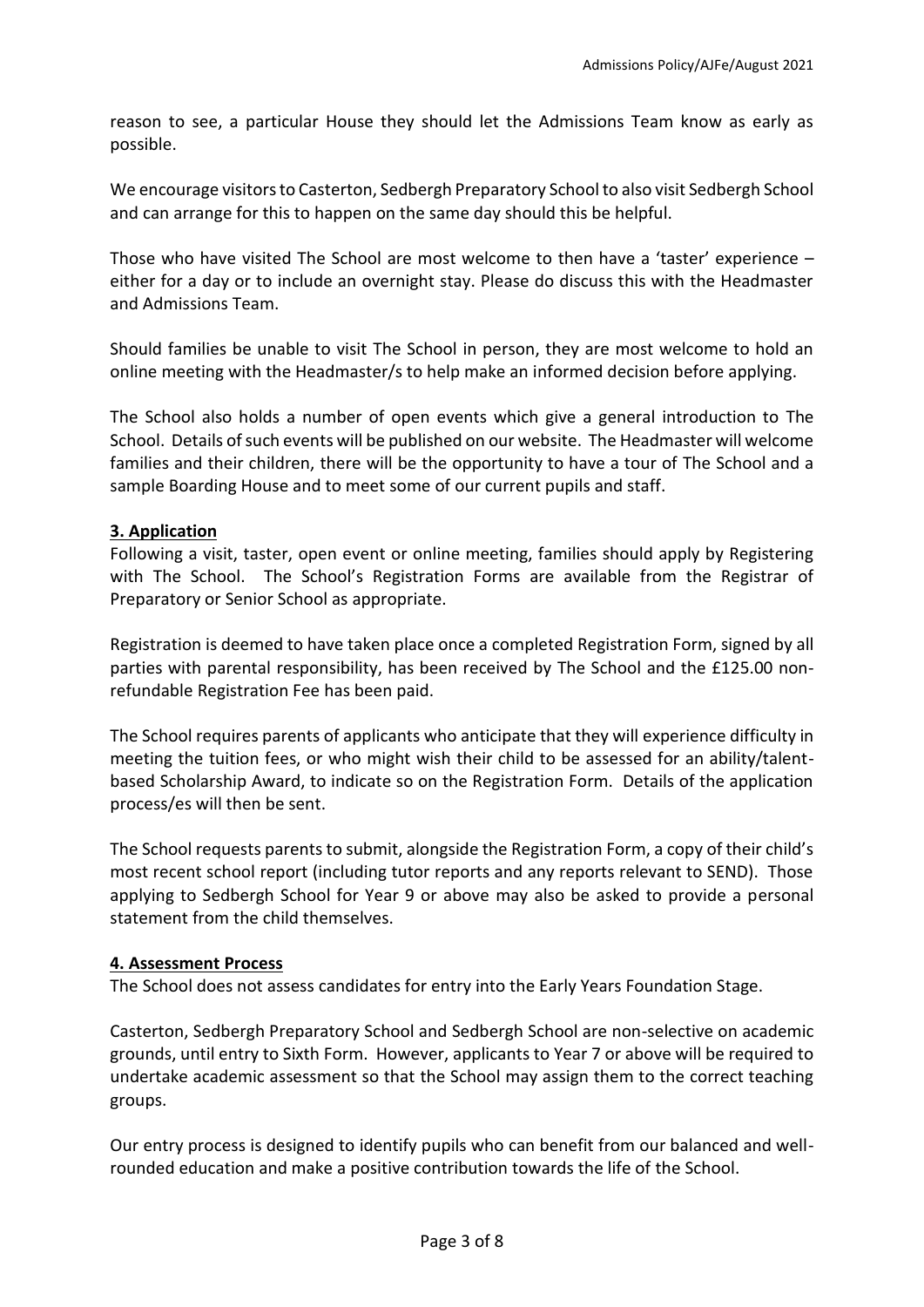reason to see, a particular House they should let the Admissions Team know as early as possible.

We encourage visitors to Casterton, Sedbergh Preparatory School to also visit Sedbergh School and can arrange for this to happen on the same day should this be helpful.

Those who have visited The School are most welcome to then have a 'taster' experience – either for a day or to include an overnight stay. Please do discuss this with the Headmaster and Admissions Team.

Should families be unable to visit The School in person, they are most welcome to hold an online meeting with the Headmaster/s to help make an informed decision before applying.

The School also holds a number of open events which give a general introduction to The School. Details of such events will be published on our website. The Headmaster will welcome families and their children, there will be the opportunity to have a tour of The School and a sample Boarding House and to meet some of our current pupils and staff.

#### **3. Application**

Following a visit, taster, open event or online meeting, families should apply by Registering with The School. The School's Registration Forms are available from the Registrar of Preparatory or Senior School as appropriate.

Registration is deemed to have taken place once a completed Registration Form, signed by all parties with parental responsibility, has been received by The School and the £125.00 nonrefundable Registration Fee has been paid.

The School requires parents of applicants who anticipate that they will experience difficulty in meeting the tuition fees, or who might wish their child to be assessed for an ability/talentbased Scholarship Award, to indicate so on the Registration Form. Details of the application process/es will then be sent.

The School requests parents to submit, alongside the Registration Form, a copy of their child's most recent school report (including tutor reports and any reports relevant to SEND). Those applying to Sedbergh School for Year 9 or above may also be asked to provide a personal statement from the child themselves.

#### **4. Assessment Process**

The School does not assess candidates for entry into the Early Years Foundation Stage.

Casterton, Sedbergh Preparatory School and Sedbergh School are non-selective on academic grounds, until entry to Sixth Form. However, applicants to Year 7 or above will be required to undertake academic assessment so that the School may assign them to the correct teaching groups.

Our entry process is designed to identify pupils who can benefit from our balanced and wellrounded education and make a positive contribution towards the life of the School.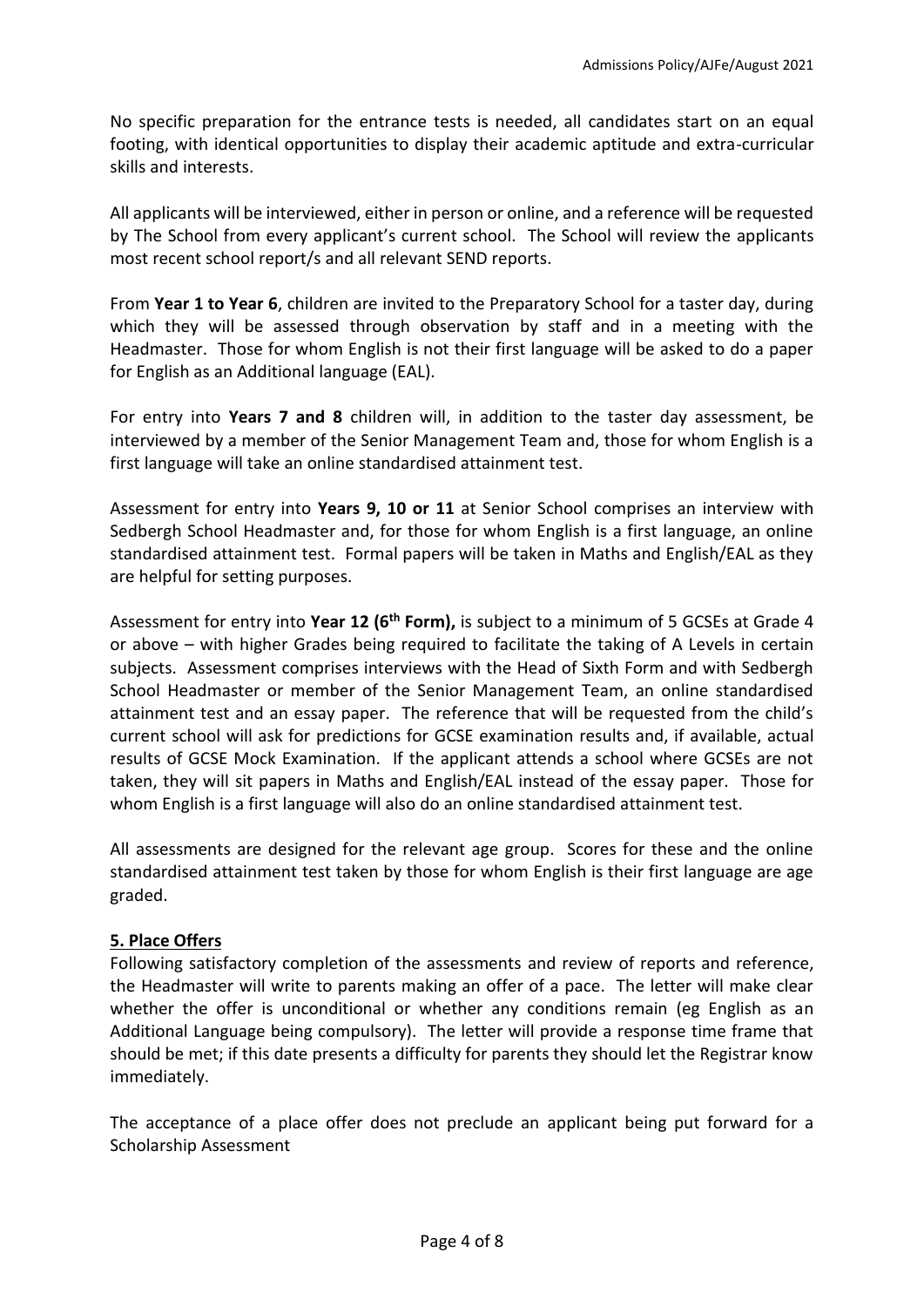No specific preparation for the entrance tests is needed, all candidates start on an equal footing, with identical opportunities to display their academic aptitude and extra-curricular skills and interests.

All applicants will be interviewed, either in person or online, and a reference will be requested by The School from every applicant's current school. The School will review the applicants most recent school report/s and all relevant SEND reports.

From **Year 1 to Year 6**, children are invited to the Preparatory School for a taster day, during which they will be assessed through observation by staff and in a meeting with the Headmaster. Those for whom English is not their first language will be asked to do a paper for English as an Additional language (EAL).

For entry into **Years 7 and 8** children will, in addition to the taster day assessment, be interviewed by a member of the Senior Management Team and, those for whom English is a first language will take an online standardised attainment test.

Assessment for entry into **Years 9, 10 or 11** at Senior School comprises an interview with Sedbergh School Headmaster and, for those for whom English is a first language, an online standardised attainment test. Formal papers will be taken in Maths and English/EAL as they are helpful for setting purposes.

Assessment for entry into **Year 12 (6th Form),** is subject to a minimum of 5 GCSEs at Grade 4 or above – with higher Grades being required to facilitate the taking of A Levels in certain subjects. Assessment comprises interviews with the Head of Sixth Form and with Sedbergh School Headmaster or member of the Senior Management Team, an online standardised attainment test and an essay paper. The reference that will be requested from the child's current school will ask for predictions for GCSE examination results and, if available, actual results of GCSE Mock Examination. If the applicant attends a school where GCSEs are not taken, they will sit papers in Maths and English/EAL instead of the essay paper. Those for whom English is a first language will also do an online standardised attainment test.

All assessments are designed for the relevant age group. Scores for these and the online standardised attainment test taken by those for whom English is their first language are age graded.

## **5. Place Offers**

Following satisfactory completion of the assessments and review of reports and reference, the Headmaster will write to parents making an offer of a pace. The letter will make clear whether the offer is unconditional or whether any conditions remain (eg English as an Additional Language being compulsory). The letter will provide a response time frame that should be met; if this date presents a difficulty for parents they should let the Registrar know immediately.

The acceptance of a place offer does not preclude an applicant being put forward for a Scholarship Assessment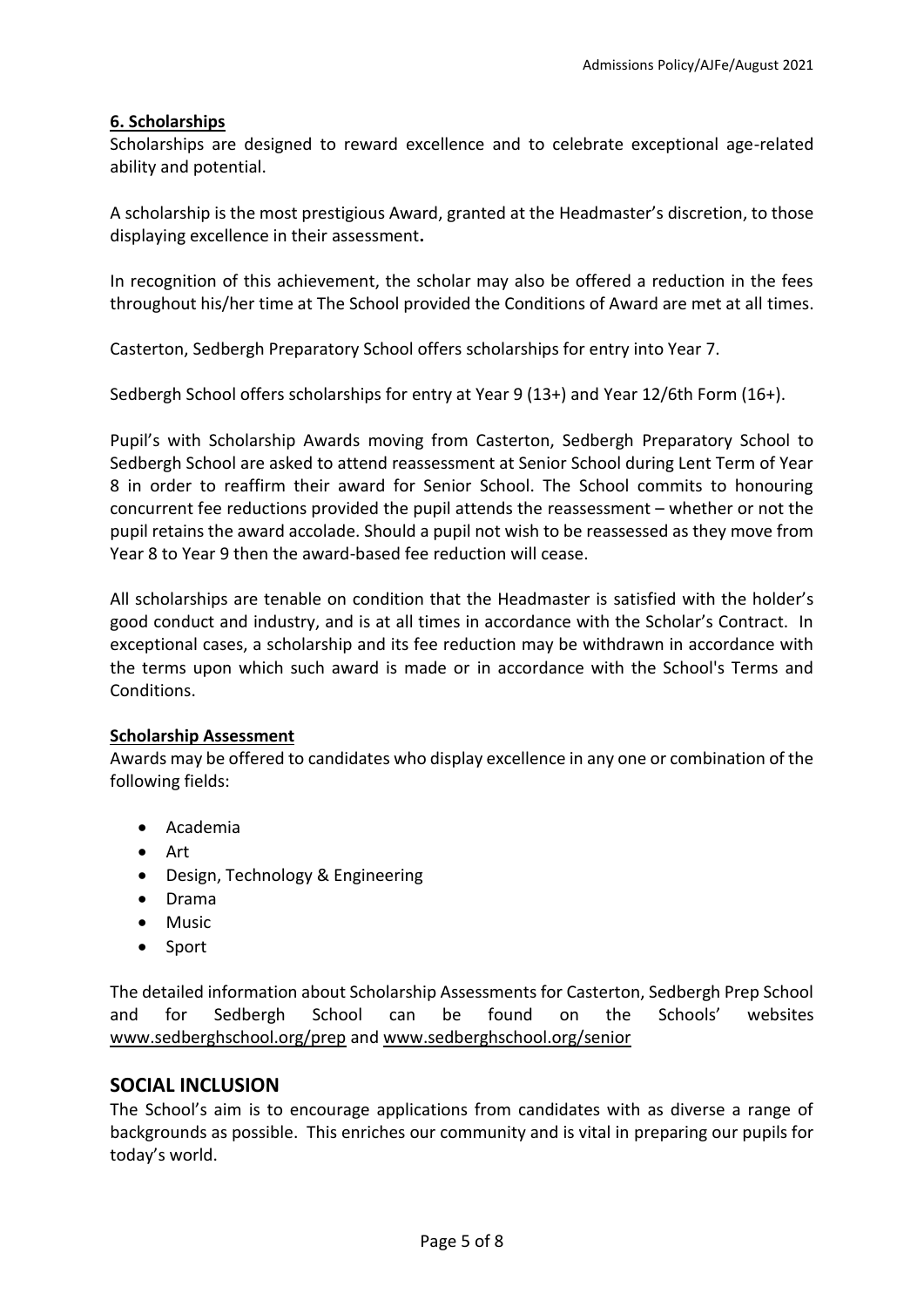#### **6. Scholarships**

Scholarships are designed to reward excellence and to celebrate exceptional age-related ability and potential.

A scholarship is the most prestigious Award, granted at the Headmaster's discretion, to those displaying excellence in their assessment**.** 

In recognition of this achievement, the scholar may also be offered a reduction in the fees throughout his/her time at The School provided the Conditions of Award are met at all times.

Casterton, Sedbergh Preparatory School offers scholarships for entry into Year 7.

Sedbergh School offers scholarships for entry at Year 9 (13+) and Year 12/6th Form (16+).

Pupil's with Scholarship Awards moving from Casterton, Sedbergh Preparatory School to Sedbergh School are asked to attend reassessment at Senior School during Lent Term of Year 8 in order to reaffirm their award for Senior School. The School commits to honouring concurrent fee reductions provided the pupil attends the reassessment – whether or not the pupil retains the award accolade. Should a pupil not wish to be reassessed as they move from Year 8 to Year 9 then the award-based fee reduction will cease.

All scholarships are tenable on condition that the Headmaster is satisfied with the holder's good conduct and industry, and is at all times in accordance with the Scholar's Contract. In exceptional cases, a scholarship and its fee reduction may be withdrawn in accordance with the terms upon which such award is made or in accordance with the School's Terms and Conditions.

#### **Scholarship Assessment**

Awards may be offered to candidates who display excellence in any one or combination of the following fields:

- Academia
- Art
- Design, Technology & Engineering
- Drama
- Music
- Sport

The detailed information about Scholarship Assessments for Casterton, Sedbergh Prep School and for Sedbergh School can be found on the Schools' websites [www.sedberghschool.org/prep](http://www.sedberghschool.org/prep) and [www.sedberghschool.org/senior](http://www.sedberghschool.org/senior) 

## **SOCIAL INCLUSION**

The School's aim is to encourage applications from candidates with as diverse a range of backgrounds as possible. This enriches our community and is vital in preparing our pupils for today's world.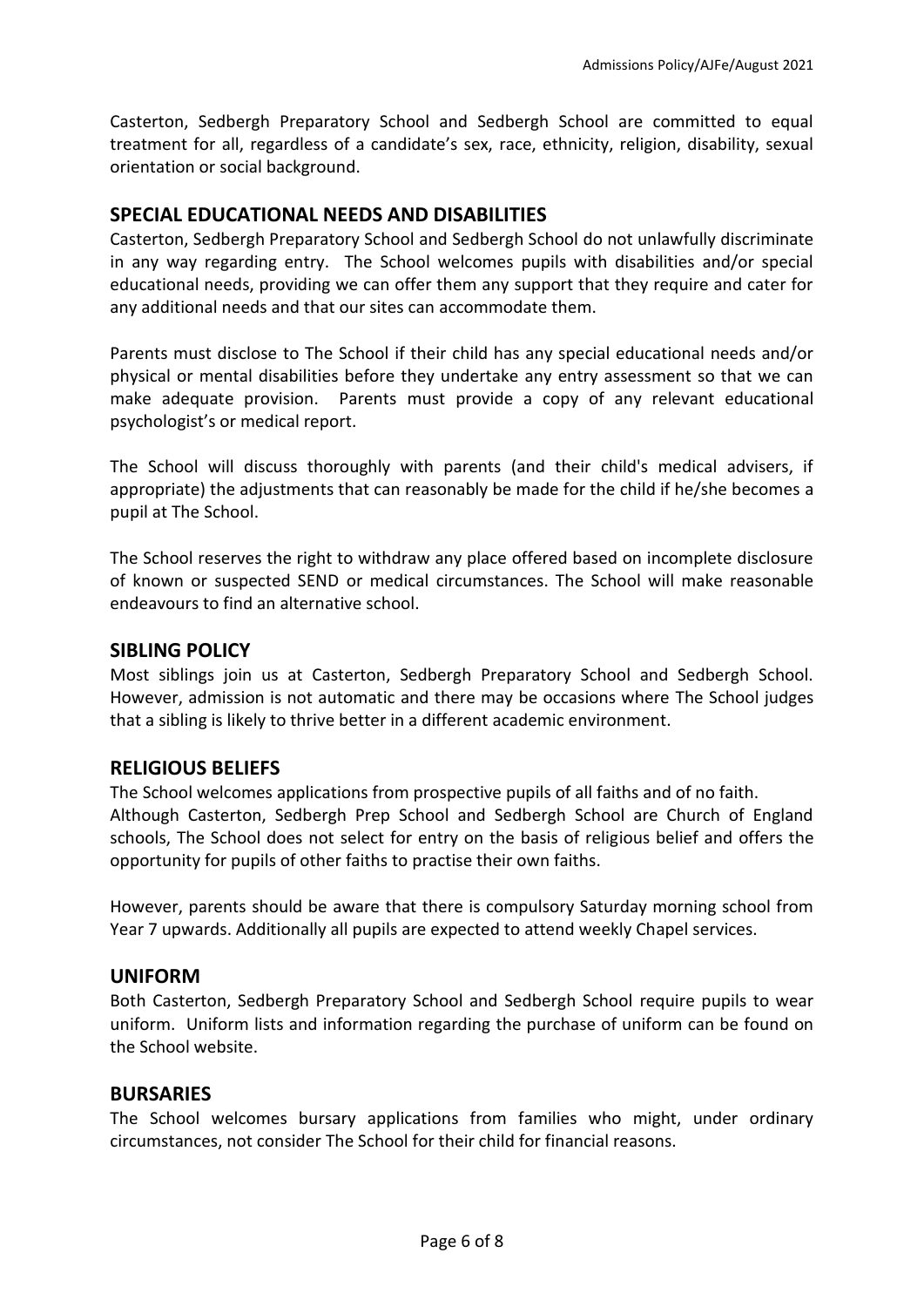Casterton, Sedbergh Preparatory School and Sedbergh School are committed to equal treatment for all, regardless of a candidate's sex, race, ethnicity, religion, disability, sexual orientation or social background.

# **SPECIAL EDUCATIONAL NEEDS AND DISABILITIES**

Casterton, Sedbergh Preparatory School and Sedbergh School do not unlawfully discriminate in any way regarding entry. The School welcomes pupils with disabilities and/or special educational needs, providing we can offer them any support that they require and cater for any additional needs and that our sites can accommodate them.

Parents must disclose to The School if their child has any special educational needs and/or physical or mental disabilities before they undertake any entry assessment so that we can make adequate provision. Parents must provide a copy of any relevant educational psychologist's or medical report.

The School will discuss thoroughly with parents (and their child's medical advisers, if appropriate) the adjustments that can reasonably be made for the child if he/she becomes a pupil at The School.

The School reserves the right to withdraw any place offered based on incomplete disclosure of known or suspected SEND or medical circumstances. The School will make reasonable endeavours to find an alternative school.

#### **SIBLING POLICY**

Most siblings join us at Casterton, Sedbergh Preparatory School and Sedbergh School. However, admission is not automatic and there may be occasions where The School judges that a sibling is likely to thrive better in a different academic environment.

## **RELIGIOUS BELIEFS**

The School welcomes applications from prospective pupils of all faiths and of no faith. Although Casterton, Sedbergh Prep School and Sedbergh School are Church of England schools, The School does not select for entry on the basis of religious belief and offers the opportunity for pupils of other faiths to practise their own faiths.

However, parents should be aware that there is compulsory Saturday morning school from Year 7 upwards. Additionally all pupils are expected to attend weekly Chapel services.

## **UNIFORM**

Both Casterton, Sedbergh Preparatory School and Sedbergh School require pupils to wear uniform. Uniform lists and information regarding the purchase of uniform can be found on the School website.

#### **BURSARIES**

The School welcomes bursary applications from families who might, under ordinary circumstances, not consider The School for their child for financial reasons.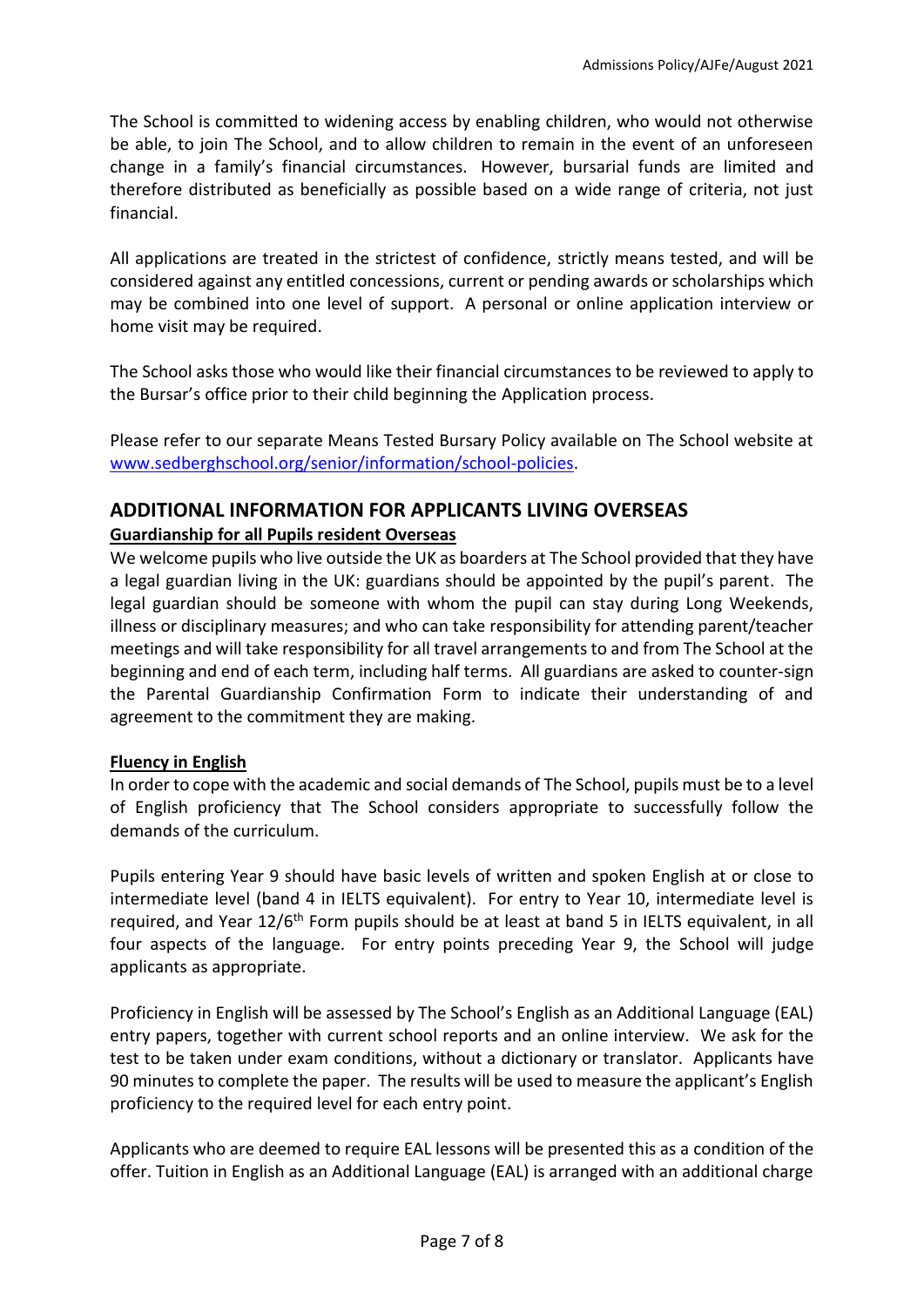The School is committed to widening access by enabling children, who would not otherwise be able, to join The School, and to allow children to remain in the event of an unforeseen change in a family's financial circumstances. However, bursarial funds are limited and therefore distributed as beneficially as possible based on a wide range of criteria, not just financial.

All applications are treated in the strictest of confidence, strictly means tested, and will be considered against any entitled concessions, current or pending awards or scholarships which may be combined into one level of support. A personal or online application interview or home visit may be required.

The School asks those who would like their financial circumstances to be reviewed to apply to the Bursar's office prior to their child beginning the Application process.

Please refer to our separate Means Tested Bursary Policy available on The School website at [www.sedberghschool.org/senior/information/school-policies.](http://www.sedberghschool.org/senior/information/school-policies)

# **ADDITIONAL INFORMATION FOR APPLICANTS LIVING OVERSEAS Guardianship for all Pupils resident Overseas**

We welcome pupils who live outside the UK as boarders at The School provided that they have a legal guardian living in the UK: guardians should be appointed by the pupil's parent. The legal guardian should be someone with whom the pupil can stay during Long Weekends, illness or disciplinary measures; and who can take responsibility for attending parent/teacher meetings and will take responsibility for all travel arrangements to and from The School at the beginning and end of each term, including half terms. All guardians are asked to counter-sign the Parental Guardianship Confirmation Form to indicate their understanding of and agreement to the commitment they are making.

## **Fluency in English**

In order to cope with the academic and social demands of The School, pupils must be to a level of English proficiency that The School considers appropriate to successfully follow the demands of the curriculum.

Pupils entering Year 9 should have basic levels of written and spoken English at or close to intermediate level (band 4 in IELTS equivalent). For entry to Year 10, intermediate level is required, and Year 12/6<sup>th</sup> Form pupils should be at least at band 5 in IELTS equivalent, in all four aspects of the language. For entry points preceding Year 9, the School will judge applicants as appropriate.

Proficiency in English will be assessed by The School's English as an Additional Language (EAL) entry papers, together with current school reports and an online interview. We ask for the test to be taken under exam conditions, without a dictionary or translator. Applicants have 90 minutes to complete the paper. The results will be used to measure the applicant's English proficiency to the required level for each entry point.

Applicants who are deemed to require EAL lessons will be presented this as a condition of the offer. Tuition in English as an Additional Language (EAL) is arranged with an additional charge